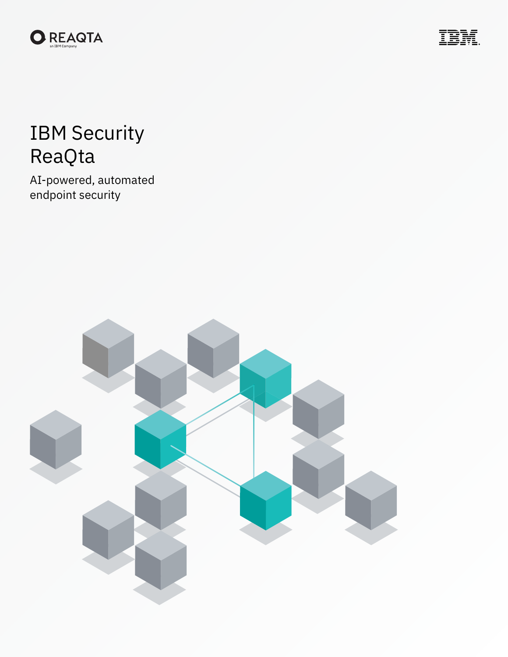



# IBM Security ReaQta

AI-powered, automated endpoint security

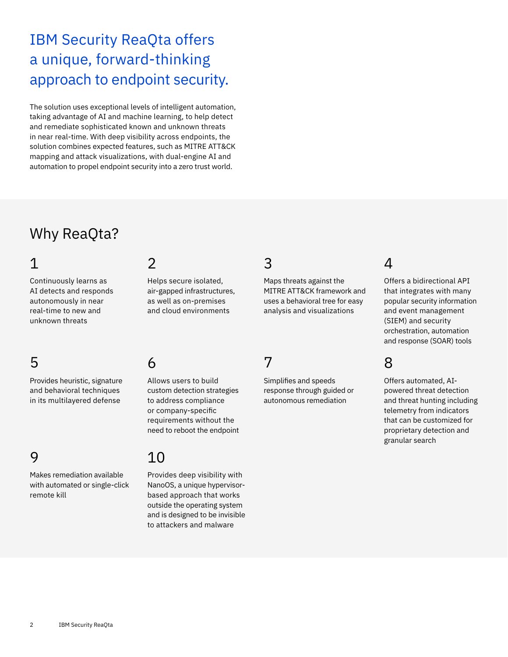# IBM Security ReaQta offers a unique, forward-thinking approach to endpoint security.

The solution uses exceptional levels of intelligent automation, taking advantage of AI and machine learning, to help detect and remediate sophisticated known and unknown threats in near real-time. With deep visibility across endpoints, the solution combines expected features, such as MITRE ATT&CK mapping and attack visualizations, with dual-engine AI and automation to propel endpoint security into a zero trust world.

# Why ReaQta?

### 1

Continuously learns as AI detects and responds autonomously in near real-time to new and unknown threats

## 5

Provides heuristic, signature and behavioral techniques in its multilayered defense

### 9

Makes remediation available with automated or single-click remote kill

#### $\overline{\mathcal{L}}$

Helps secure isolated, air-gapped infrastructures, as well as on-premises and cloud environments

### 6

Allows users to build custom detection strategies to address compliance or company-specific requirements without the need to reboot the endpoint

### 10

Provides deep visibility with NanoOS, a unique hypervisorbased approach that works outside the operating system and is designed to be invisible to attackers and malware

### 3

Maps threats against the MITRE ATT&CK framework and uses a behavioral tree for easy analysis and visualizations

### 7

Simplifies and speeds response through guided or autonomous remediation

### $\Delta$

Offers a bidirectional API that integrates with many popular security information and event management (SIEM) and security orchestration, automation and response (SOAR) tools

### 8

Offers automated, AIpowered threat detection and threat hunting including telemetry from indicators that can be customized for proprietary detection and granular search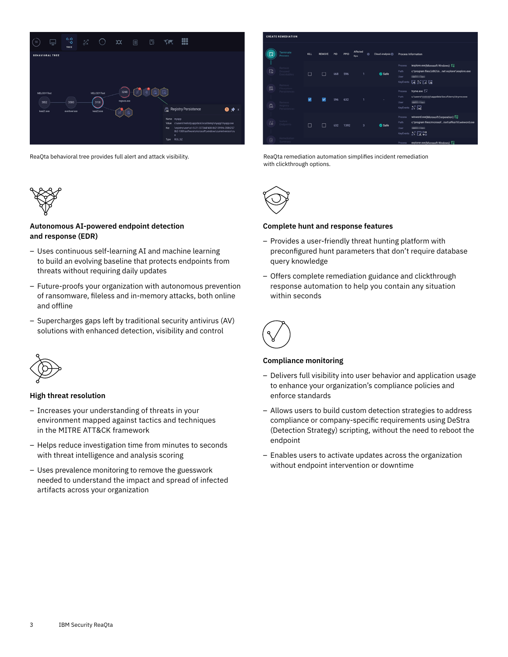



#### **Autonomous AI-powered endpoint detection and response (EDR)**

- Uses continuous self-learning AI and machine learning to build an evolving baseline that protects endpoints from threats without requiring daily updates
- Future-proofs your organization with autonomous prevention of ransomware, fileless and in-memory attacks, both online and offline
- Supercharges gaps left by traditional security antivirus (AV) solutions with enhanced detection, visibility and control



#### **High threat resolution**

- Increases your understanding of threats in your environment mapped against tactics and techniques in the MITRE ATT&CK framework
- Helps reduce investigation time from minutes to seconds with threat intelligence and analysis scoring
- Uses prevalence monitoring to remove the guesswork needed to understand the impact and spread of infected artifacts across your organization



ReaQta behavioral tree provides full alert and attack visibility. The ReaQta remediation automation simplifies incident remediation with clickthrough options.



#### **Complete hunt and response features**

- Provides a user-friendly threat hunting platform with preconfigured hunt parameters that don't require database query knowledge
- Offers complete remediation guidance and clickthrough response automation to help you contain any situation within seconds



#### **Compliance monitoring**

- Delivers full visibility into user behavior and application usage to enhance your organization's compliance policies and enforce standards
- Allows users to build custom detection strategies to address compliance or company-specific requirements using DeStra (Detection Strategy) scripting, without the need to reboot the endpoint
- Enables users to activate updates across the organization without endpoint intervention or downtime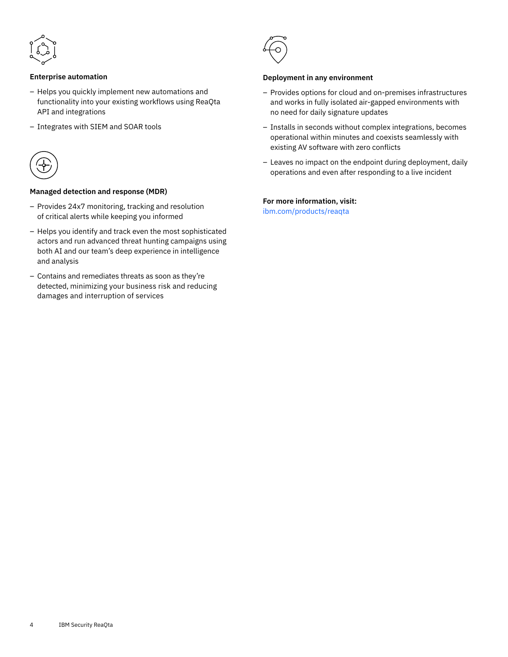

#### **Enterprise automation**

- Helps you quickly implement new automations and functionality into your existing workflows using ReaQta API and integrations
- Integrates with SIEM and SOAR tools



#### **Managed detection and response (MDR)**

- Provides 24x7 monitoring, tracking and resolution of critical alerts while keeping you informed
- Helps you identify and track even the most sophisticated actors and run advanced threat hunting campaigns using both AI and our team's deep experience in intelligence and analysis
- Contains and remediates threats as soon as they're detected, minimizing your business risk and reducing damages and interruption of services



#### **Deployment in any environment**

- Provides options for cloud and on-premises infrastructures and works in fully isolated air-gapped environments with no need for daily signature updates
- Installs in seconds without complex integrations, becomes operational within minutes and coexists seamlessly with existing AV software with zero conflicts
- Leaves no impact on the endpoint during deployment, daily operations and even after responding to a live incident

#### **For more information, visit:**

ibm.com/[products/reaqta](http://www.ibm.com/products/reaqta)